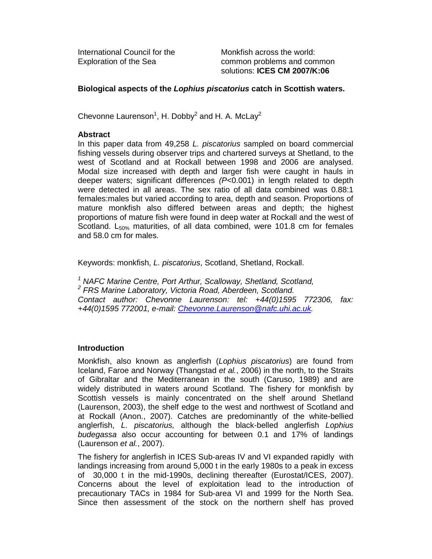International Council for the Monkfish across the world:

Exploration of the Sea common problems and common solutions: **ICES CM 2007/K:06**

# **Biological aspects of the Lophius piscatorius catch in Scottish waters.**

Chevonne Laurenson<sup>1</sup>, H. Dobby<sup>2</sup> and H. A. McLay<sup>2</sup>

## **Abstract**

In this paper data from 49,258 L. piscatorius sampled on board commercial fishing vessels during observer trips and chartered surveys at Shetland, to the west of Scotland and at Rockall between 1998 and 2006 are analysed. Modal size increased with depth and larger fish were caught in hauls in deeper waters; significant differences (P<0.001) in length related to depth were detected in all areas. The sex ratio of all data combined was 0.88:1 females:males but varied according to area, depth and season. Proportions of mature monkfish also differed between areas and depth; the highest proportions of mature fish were found in deep water at Rockall and the west of Scotland.  $L_{50\%}$  maturities, of all data combined, were 101.8 cm for females and 58.0 cm for males.

Keywords: monkfish, L. piscatorius, Scotland, Shetland, Rockall.

<sup>1</sup> NAFC Marine Centre, Port Arthur, Scalloway, Shetland, Scotland, <sup>2</sup> FRS Marine Laboratory, Victoria Road, Aberdeen, Scotland. Contact author: Chevonne Laurenson: tel: +44(0)1595 772306, fax: +44(0)1595 772001, e-mail: Chevonne.Laurenson@nafc.uhi.ac.uk.

### **Introduction**

Monkfish, also known as anglerfish (Lophius piscatorius) are found from Iceland, Faroe and Norway (Thangstad et al., 2006) in the north, to the Straits of Gibraltar and the Mediterranean in the south (Caruso, 1989) and are widely distributed in waters around Scotland. The fishery for monkfish by Scottish vessels is mainly concentrated on the shelf around Shetland (Laurenson, 2003), the shelf edge to the west and northwest of Scotland and at Rockall (Anon., 2007). Catches are predominantly of the white-bellied anglerfish, L. piscatorius, although the black-belled anglerfish Lophius budegassa also occur accounting for between 0.1 and 17% of landings (Laurenson et al., 2007).

The fishery for anglerfish in ICES Sub-areas IV and VI expanded rapidly with landings increasing from around 5,000 t in the early 1980s to a peak in excess of 30,000 t in the mid-1990s, declining thereafter (Eurostat/ICES, 2007). Concerns about the level of exploitation lead to the introduction of precautionary TACs in 1984 for Sub-area VI and 1999 for the North Sea. Since then assessment of the stock on the northern shelf has proved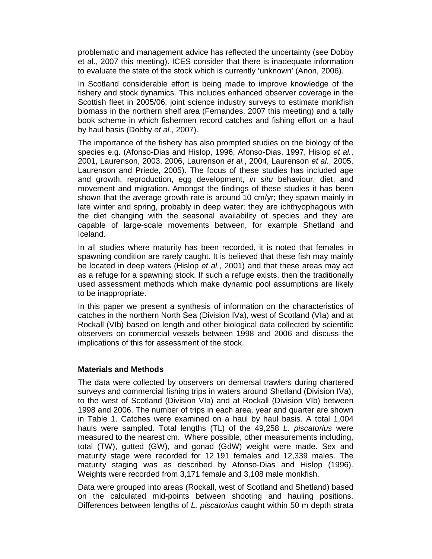problematic and management advice has reflected the uncertainty (see Dobby et al., 2007 this meeting). ICES consider that there is inadequate information to evaluate the state of the stock which is currently 'unknown' (Anon, 2006).

In Scotland considerable effort is being made to improve knowledge of the fishery and stock dynamics. This includes enhanced observer coverage in the Scottish fleet in 2005/06; joint science industry surveys to estimate monkfish biomass in the northern shelf area (Fernandes, 2007 this meeting) and a tally book scheme in which fishermen record catches and fishing effort on a haul by haul basis (Dobby et al., 2007).

The importance of the fishery has also prompted studies on the biology of the species e.g. (Afonso-Dias and Hislop, 1996, Afonso-Dias, 1997, Hislop et al., 2001, Laurenson, 2003, 2006, Laurenson et al., 2004, Laurenson et al., 2005, Laurenson and Priede, 2005). The focus of these studies has included age and growth, reproduction, egg development, in situ behaviour, diet, and movement and migration. Amongst the findings of these studies it has been shown that the average growth rate is around 10 cm/yr; they spawn mainly in late winter and spring, probably in deep water; they are ichthyophagous with the diet changing with the seasonal availability of species and they are capable of large-scale movements between, for example Shetland and Iceland.

In all studies where maturity has been recorded, it is noted that females in spawning condition are rarely caught. It is believed that these fish may mainly be located in deep waters (Hislop et al., 2001) and that these areas may act as a refuge for a spawning stock. If such a refuge exists, then the traditionally used assessment methods which make dynamic pool assumptions are likely to be inappropriate.

In this paper we present a synthesis of information on the characteristics of catches in the northern North Sea (Division IVa), west of Scotland (VIa) and at Rockall (VIb) based on length and other biological data collected by scientific observers on commercial vessels between 1998 and 2006 and discuss the implications of this for assessment of the stock.

### **Materials and Methods**

The data were collected by observers on demersal trawlers during chartered surveys and commercial fishing trips in waters around Shetland (Division IVa), to the west of Scotland (Division VIa) and at Rockall (Division VIb) between 1998 and 2006. The number of trips in each area, year and quarter are shown in Table 1. Catches were examined on a haul by haul basis. A total 1,004 hauls were sampled. Total lengths (TL) of the 49,258 L. piscatorius were measured to the nearest cm. Where possible, other measurements including, total (TW), gutted (GW), and gonad (GdW) weight were made. Sex and maturity stage were recorded for 12,191 females and 12,339 males. The maturity staging was as described by Afonso-Dias and Hislop (1996). Weights were recorded from 3,171 female and 3,108 male monkfish.

Data were grouped into areas (Rockall, west of Scotland and Shetland) based on the calculated mid-points between shooting and hauling positions. Differences between lengths of L. piscatorius caught within 50 m depth strata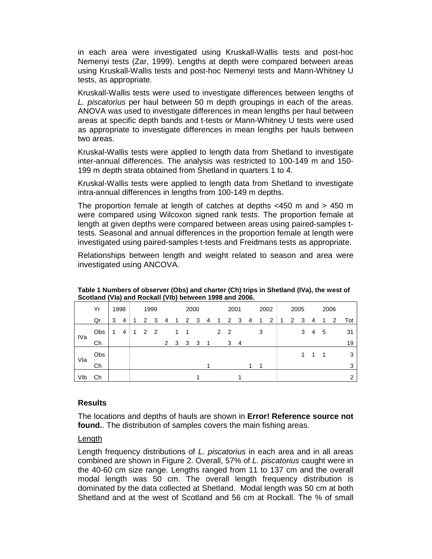in each area were investigated using Kruskall-Wallis tests and post-hoc Nemenyi tests (Zar, 1999). Lengths at depth were compared between areas using Kruskall-Wallis tests and post-hoc Nemenyi tests and Mann-Whitney U tests, as appropriate.

Kruskall-Wallis tests were used to investigate differences between lengths of L. piscatorius per haul between 50 m depth groupings in each of the areas. ANOVA was used to investigate differences in mean lengths per haul between areas at specific depth bands and t-tests or Mann-Whitney U tests were used as appropriate to investigate differences in mean lengths per hauls between two areas.

Kruskal-Wallis tests were applied to length data from Shetland to investigate inter-annual differences. The analysis was restricted to 100-149 m and 150- 199 m depth strata obtained from Shetland in quarters 1 to 4.

Kruskal-Wallis tests were applied to length data from Shetland to investigate intra-annual differences in lengths from 100-149 m depths.

The proportion female at length of catches at depths <450 m and > 450 m were compared using Wilcoxon signed rank tests. The proportion female at length at given depths were compared between areas using paired-samples ttests. Seasonal and annual differences in the proportion female at length were investigated using paired-samples t-tests and Freidmans tests as appropriate.

Relationships between length and weight related to season and area were investigated using ANCOVA.

|     | Yr  |   | 1998 |  | 1999           |   |              | 2000 |              |    | 2001 |                |   | 2002 |   | 2005 |   |  |   | 2006 |     |  |   |     |
|-----|-----|---|------|--|----------------|---|--------------|------|--------------|----|------|----------------|---|------|---|------|---|--|---|------|-----|--|---|-----|
|     | Qr  | 3 | 4    |  | 2              | 3 | 4            | 1    | $\mathbf{2}$ | 3  | 4    | 1              | 2 | 3    | 4 | 1    | 2 |  | 2 | 3    | 4   |  | 2 | Tot |
| IVa | Obs | 1 | 4    |  | 2 <sub>2</sub> |   |              |      |              |    |      | 2 <sub>2</sub> |   |      |   | 3    |   |  |   | 3    | 4 5 |  |   | 31  |
|     | Ch  |   |      |  |                |   | $\mathbf{2}$ | 3    | 3            | -3 | -1   |                | 3 | 4    |   |      |   |  |   |      |     |  |   | 19  |
| Vla | Obs |   |      |  |                |   |              |      |              |    |      |                |   |      |   |      |   |  |   |      |     |  |   | 3   |
|     | Ch  |   |      |  |                |   |              |      |              |    |      |                |   |      | 1 | 1    |   |  |   |      |     |  |   | 3   |
| VIb | Сh  |   |      |  |                |   |              |      |              |    |      |                |   |      |   |      |   |  |   |      |     |  |   | ◠   |

**Table 1 Numbers of observer (Obs) and charter (Ch) trips in Shetland (IVa), the west of Scotland (VIa) and Rockall (VIb) between 1998 and 2006.** 

### **Results**

The locations and depths of hauls are shown in **Error! Reference source not found.**. The distribution of samples covers the main fishing areas.

### Length

Length frequency distributions of L. piscatorius in each area and in all areas combined are shown in Figure 2. Overall, 57% of L. piscatorius caught were in the 40-60 cm size range. Lengths ranged from 11 to 137 cm and the overall modal length was 50 cm. The overall length frequency distribution is dominated by the data collected at Shetland. Modal length was 50 cm at both Shetland and at the west of Scotland and 56 cm at Rockall. The % of small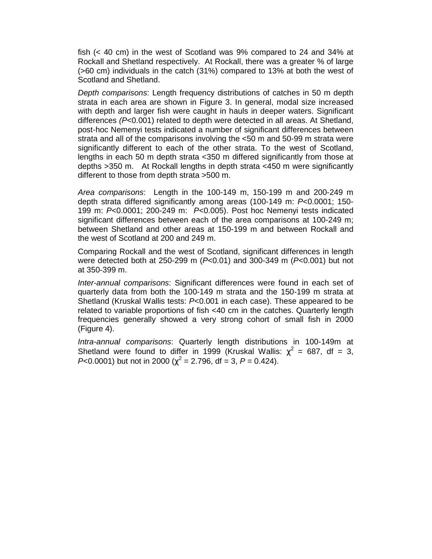fish (< 40 cm) in the west of Scotland was 9% compared to 24 and 34% at Rockall and Shetland respectively. At Rockall, there was a greater % of large (>60 cm) individuals in the catch (31%) compared to 13% at both the west of Scotland and Shetland.

Depth comparisons: Length frequency distributions of catches in 50 m depth strata in each area are shown in Figure 3. In general, modal size increased with depth and larger fish were caught in hauls in deeper waters. Significant differences  $(P<0.001)$  related to depth were detected in all areas. At Shetland, post-hoc Nemenyi tests indicated a number of significant differences between strata and all of the comparisons involving the <50 m and 50-99 m strata were significantly different to each of the other strata. To the west of Scotland, lengths in each 50 m depth strata <350 m differed significantly from those at depths >350 m. At Rockall lengths in depth strata <450 m were significantly different to those from depth strata >500 m.

Area comparisons: Length in the 100-149 m, 150-199 m and 200-249 m depth strata differed significantly among areas (100-149 m: P<0.0001; 150- 199 m: P<0.0001; 200-249 m: P<0.005). Post hoc Nemenyi tests indicated significant differences between each of the area comparisons at 100-249 m; between Shetland and other areas at 150-199 m and between Rockall and the west of Scotland at 200 and 249 m.

Comparing Rockall and the west of Scotland, significant differences in length were detected both at 250-299 m ( $P<0.01$ ) and 300-349 m ( $P<0.001$ ) but not at 350-399 m.

Inter-annual comparisons: Significant differences were found in each set of quarterly data from both the 100-149 m strata and the 150-199 m strata at Shetland (Kruskal Wallis tests: P<0.001 in each case). These appeared to be related to variable proportions of fish <40 cm in the catches. Quarterly length frequencies generally showed a very strong cohort of small fish in 2000 (Figure 4).

Intra-annual comparisons: Quarterly length distributions in 100-149m at Shetland were found to differ in 1999 (Kruskal Wallis:  $\chi^2$  = 687, df = 3, P<0.0001) but not in 2000 ( $\chi^2$  = 2.796, df = 3, P = 0.424).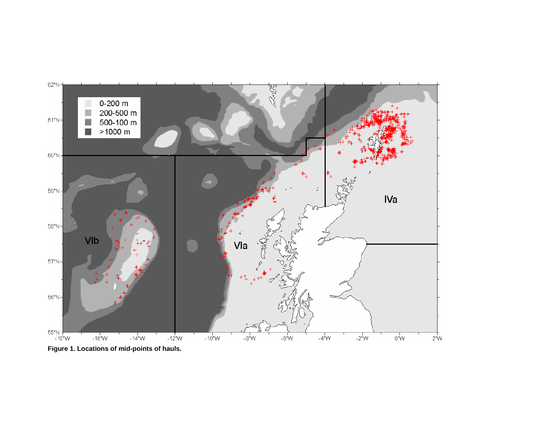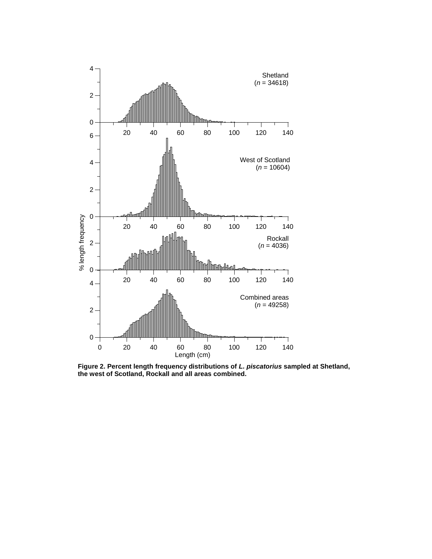

**Figure 2. Percent length frequency distributions of L. piscatorius sampled at Shetland, the west of Scotland, Rockall and all areas combined.**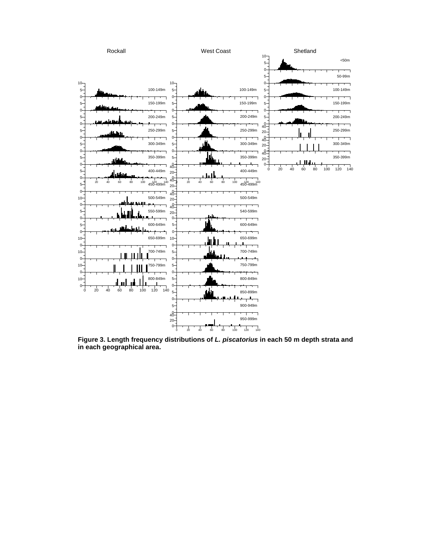

**Figure 3. Length frequency distributions of L. piscatorius in each 50 m depth strata and in each geographical area.**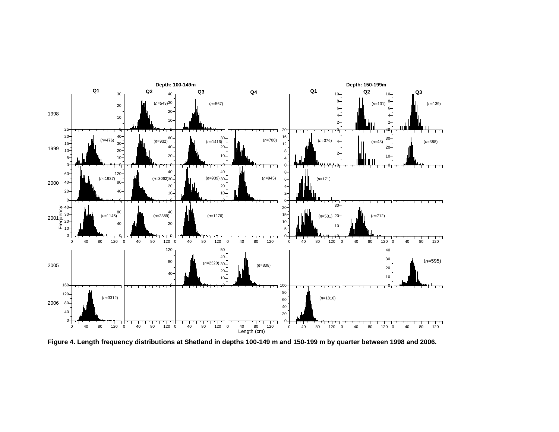

**Figure 4. Length frequency distributions at Shetland in depths 100-149 m and 150-199 m by quarter between 1998 and 2006.**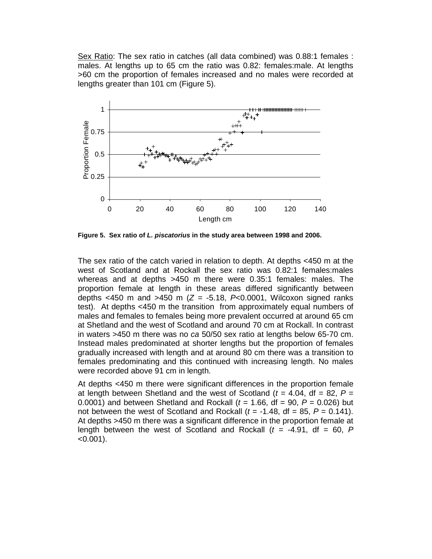Sex Ratio: The sex ratio in catches (all data combined) was 0.88:1 females : males. At lengths up to 65 cm the ratio was 0.82: females:male. At lengths >60 cm the proportion of females increased and no males were recorded at lengths greater than 101 cm (Figure 5).



**Figure 5. Sex ratio of L. piscatorius in the study area between 1998 and 2006.** 

The sex ratio of the catch varied in relation to depth. At depths <450 m at the west of Scotland and at Rockall the sex ratio was 0.82:1 females:males whereas and at depths >450 m there were 0.35:1 females: males. The proportion female at length in these areas differed significantly between depths <450 m and >450 m ( $Z = -5.18$ ,  $P<sub>0.0001</sub>$ , Wilcoxon signed ranks test). At depths <450 m the transition from approximately equal numbers of males and females to females being more prevalent occurred at around 65 cm at Shetland and the west of Scotland and around 70 cm at Rockall. In contrast in waters >450 m there was no ca 50/50 sex ratio at lengths below 65-70 cm. Instead males predominated at shorter lengths but the proportion of females gradually increased with length and at around 80 cm there was a transition to females predominating and this continued with increasing length. No males were recorded above 91 cm in length.

At depths <450 m there were significant differences in the proportion female at length between Shetland and the west of Scotland ( $t = 4.04$ , df = 82,  $P =$ 0.0001) and between Shetland and Rockall ( $t = 1.66$ , df = 90,  $P = 0.026$ ) but not between the west of Scotland and Rockall ( $t = -1.48$ , df = 85,  $P = 0.141$ ). At depths >450 m there was a significant difference in the proportion female at length between the west of Scotland and Rockall  $(t = -4.91, df = 60, P$  $< 0.001$ ).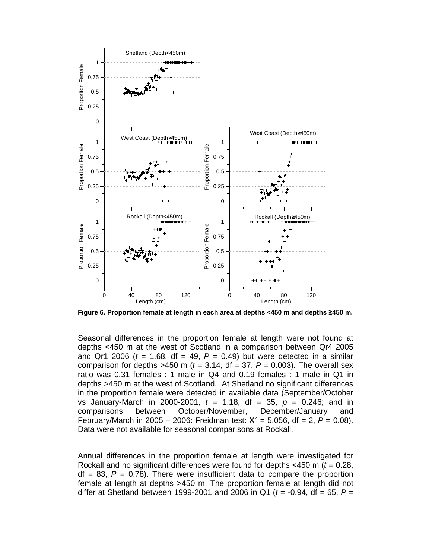

**Figure 6. Proportion female at length in each area at depths <450 m and depths** ≥**450 m.** 

Seasonal differences in the proportion female at length were not found at depths <450 m at the west of Scotland in a comparison between Qr4 2005 and Qr1 2006 ( $t = 1.68$ , df = 49,  $P = 0.49$ ) but were detected in a similar comparison for depths >450 m ( $t = 3.14$ , df = 37,  $P = 0.003$ ). The overall sex ratio was 0.31 females : 1 male in Q4 and 0.19 females : 1 male in Q1 in depths >450 m at the west of Scotland. At Shetland no significant differences in the proportion female were detected in available data (September/October vs January-March in 2000-2001,  $t = 1.18$ , df = 35,  $p = 0.246$ ; and in comparisons between October/November, December/January and February/March in 2005 – 2006: Freidman test:  $X^2 = 5.056$ , df = 2,  $P = 0.08$ ). Data were not available for seasonal comparisons at Rockall.

Annual differences in the proportion female at length were investigated for Rockall and no significant differences were found for depths  $<$ 450 m ( $t$  = 0.28,  $df = 83$ ,  $P = 0.78$ ). There were insufficient data to compare the proportion female at length at depths >450 m. The proportion female at length did not differ at Shetland between 1999-2001 and 2006 in Q1 ( $t = -0.94$ , df = 65,  $P =$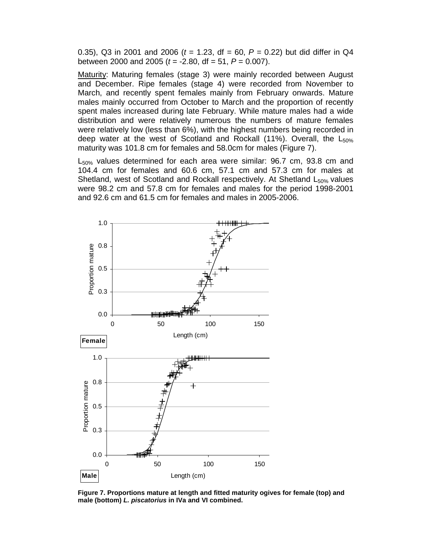0.35), Q3 in 2001 and 2006 ( $t = 1.23$ , df = 60, P = 0.22) but did differ in Q4 between 2000 and 2005 ( $t = -2.80$ , df = 51,  $P = 0.007$ ).

Maturity: Maturing females (stage 3) were mainly recorded between August and December. Ripe females (stage 4) were recorded from November to March, and recently spent females mainly from February onwards. Mature males mainly occurred from October to March and the proportion of recently spent males increased during late February. While mature males had a wide distribution and were relatively numerous the numbers of mature females were relatively low (less than 6%), with the highest numbers being recorded in deep water at the west of Scotland and Rockall (11%). Overall, the  $L_{50\%}$ maturity was 101.8 cm for females and 58.0cm for males (Figure 7).

L<sub>50%</sub> values determined for each area were similar: 96.7 cm, 93.8 cm and 104.4 cm for females and 60.6 cm, 57.1 cm and 57.3 cm for males at Shetland, west of Scotland and Rockall respectively. At Shetland  $L_{50\%}$  values were 98.2 cm and 57.8 cm for females and males for the period 1998-2001 and 92.6 cm and 61.5 cm for females and males in 2005-2006.



**Figure 7. Proportions mature at length and fitted maturity ogives for female (top) and male (bottom) L. piscatorius in IVa and VI combined.**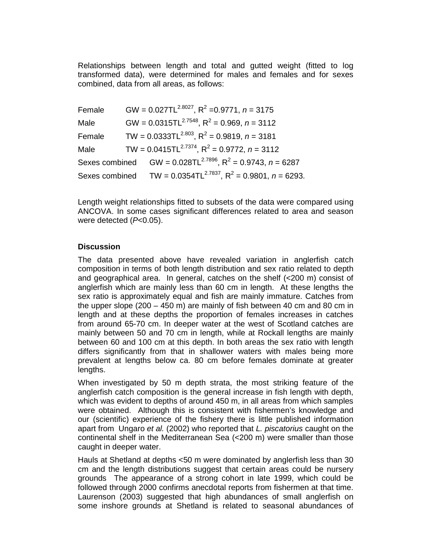Relationships between length and total and gutted weight (fitted to log transformed data), were determined for males and females and for sexes combined, data from all areas, as follows:

| Female | GW = $0.027TL^{2.8027}$ , R <sup>2</sup> = 0.9771, n = 3175  |                                                                         |
|--------|--------------------------------------------------------------|-------------------------------------------------------------------------|
| Male   | GW = $0.0315TL^{2.7548}$ , R <sup>2</sup> = 0.969, n = 3112  |                                                                         |
| Female | TW = $0.0333TL^{2.803}$ , R <sup>2</sup> = 0.9819, n = 3181  |                                                                         |
| Male   | TW = $0.0415TL^{2.7374}$ , R <sup>2</sup> = 0.9772, n = 3112 |                                                                         |
|        |                                                              | Sexes combined $GW = 0.028TL^{2.7896}$ , $R^2 = 0.9743$ , $n = 6287$    |
|        |                                                              | Sexes combined TW = $0.0354TL^{2.7837}$ , $R^2 = 0.9801$ , $n = 6293$ . |

Length weight relationships fitted to subsets of the data were compared using ANCOVA. In some cases significant differences related to area and season were detected (P<0.05).

## **Discussion**

The data presented above have revealed variation in anglerfish catch composition in terms of both length distribution and sex ratio related to depth and geographical area. In general, catches on the shelf (<200 m) consist of anglerfish which are mainly less than 60 cm in length. At these lengths the sex ratio is approximately equal and fish are mainly immature. Catches from the upper slope (200 – 450 m) are mainly of fish between 40 cm and 80 cm in length and at these depths the proportion of females increases in catches from around 65-70 cm. In deeper water at the west of Scotland catches are mainly between 50 and 70 cm in length, while at Rockall lengths are mainly between 60 and 100 cm at this depth. In both areas the sex ratio with length differs significantly from that in shallower waters with males being more prevalent at lengths below ca. 80 cm before females dominate at greater lengths.

When investigated by 50 m depth strata, the most striking feature of the anglerfish catch composition is the general increase in fish length with depth, which was evident to depths of around 450 m, in all areas from which samples were obtained. Although this is consistent with fishermen's knowledge and our (scientific) experience of the fishery there is little published information apart from Ungaro et al. (2002) who reported that L. piscatorius caught on the continental shelf in the Mediterranean Sea (<200 m) were smaller than those caught in deeper water.

Hauls at Shetland at depths <50 m were dominated by anglerfish less than 30 cm and the length distributions suggest that certain areas could be nursery grounds The appearance of a strong cohort in late 1999, which could be followed through 2000 confirms anecdotal reports from fishermen at that time. Laurenson (2003) suggested that high abundances of small anglerfish on some inshore grounds at Shetland is related to seasonal abundances of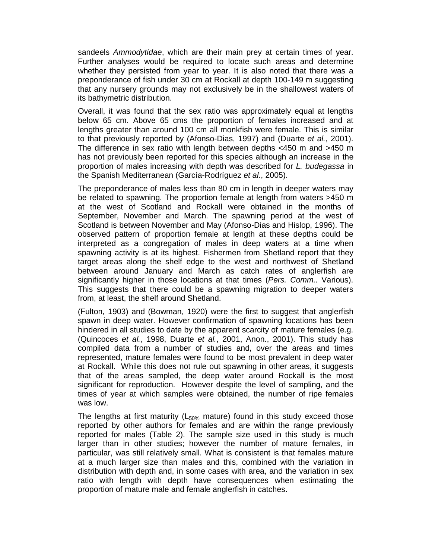sandeels Ammodytidae, which are their main prey at certain times of year. Further analyses would be required to locate such areas and determine whether they persisted from year to year. It is also noted that there was a preponderance of fish under 30 cm at Rockall at depth 100-149 m suggesting that any nursery grounds may not exclusively be in the shallowest waters of its bathymetric distribution.

Overall, it was found that the sex ratio was approximately equal at lengths below 65 cm. Above 65 cms the proportion of females increased and at lengths greater than around 100 cm all monkfish were female. This is similar to that previously reported by (Afonso-Dias, 1997) and (Duarte et al., 2001). The difference in sex ratio with length between depths <450 m and >450 m has not previously been reported for this species although an increase in the proportion of males increasing with depth was described for L. budegassa in the Spanish Mediterranean (García-Rodríguez et al., 2005).

The preponderance of males less than 80 cm in length in deeper waters may be related to spawning. The proportion female at length from waters >450 m at the west of Scotland and Rockall were obtained in the months of September, November and March. The spawning period at the west of Scotland is between November and May (Afonso-Dias and Hislop, 1996). The observed pattern of proportion female at length at these depths could be interpreted as a congregation of males in deep waters at a time when spawning activity is at its highest. Fishermen from Shetland report that they target areas along the shelf edge to the west and northwest of Shetland between around January and March as catch rates of anglerfish are significantly higher in those locations at that times (Pers. Comm.. Various). This suggests that there could be a spawning migration to deeper waters from, at least, the shelf around Shetland.

(Fulton, 1903) and (Bowman, 1920) were the first to suggest that anglerfish spawn in deep water. However confirmation of spawning locations has been hindered in all studies to date by the apparent scarcity of mature females (e.g. (Quincoces et al., 1998, Duarte et al., 2001, Anon., 2001). This study has compiled data from a number of studies and, over the areas and times represented, mature females were found to be most prevalent in deep water at Rockall. While this does not rule out spawning in other areas, it suggests that of the areas sampled, the deep water around Rockall is the most significant for reproduction. However despite the level of sampling, and the times of year at which samples were obtained, the number of ripe females was low.

The lengths at first maturity ( $L_{50\%}$  mature) found in this study exceed those reported by other authors for females and are within the range previously reported for males (Table 2). The sample size used in this study is much larger than in other studies; however the number of mature females, in particular, was still relatively small. What is consistent is that females mature at a much larger size than males and this, combined with the variation in distribution with depth and, in some cases with area, and the variation in sex ratio with length with depth have consequences when estimating the proportion of mature male and female anglerfish in catches.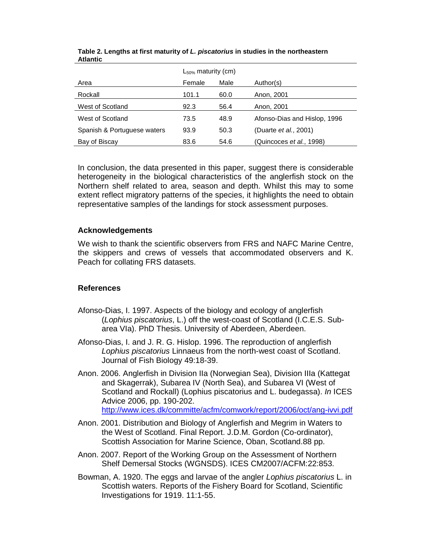|                             | $L_{50\%}$ maturity (cm) |      |                               |
|-----------------------------|--------------------------|------|-------------------------------|
| Area                        | Female                   | Male | Author(s)                     |
| Rockall                     | 101.1                    | 60.0 | Anon, 2001                    |
| West of Scotland            | 92.3                     | 56.4 | Anon, 2001                    |
| West of Scotland            | 73.5                     | 48.9 | Afonso-Dias and Hislop, 1996  |
| Spanish & Portuguese waters | 93.9                     | 50.3 | (Duarte <i>et al.</i> , 2001) |
| Bay of Biscay               | 83.6                     | 54.6 | (Quincoces et al., 1998)      |

**Table 2. Lengths at first maturity of L. piscatorius in studies in the northeastern Atlantic** 

In conclusion, the data presented in this paper, suggest there is considerable heterogeneity in the biological characteristics of the anglerfish stock on the Northern shelf related to area, season and depth. Whilst this may to some extent reflect migratory patterns of the species, it highlights the need to obtain representative samples of the landings for stock assessment purposes.

## **Acknowledgements**

We wish to thank the scientific observers from FRS and NAFC Marine Centre, the skippers and crews of vessels that accommodated observers and K. Peach for collating FRS datasets.

### **References**

- Afonso-Dias, I. 1997. Aspects of the biology and ecology of anglerfish (Lophius piscatorius, L.) off the west-coast of Scotland (I.C.E.S. Subarea VIa). PhD Thesis. University of Aberdeen, Aberdeen.
- Afonso-Dias, I. and J. R. G. Hislop. 1996. The reproduction of anglerfish Lophius piscatorius Linnaeus from the north-west coast of Scotland. Journal of Fish Biology 49:18-39.
- Anon. 2006. Anglerfish in Division IIa (Norwegian Sea), Division IIIa (Kattegat and Skagerrak), Subarea IV (North Sea), and Subarea VI (West of Scotland and Rockall) (Lophius piscatorius and L. budegassa). In ICES Advice 2006, pp. 190-202. http://www.ices.dk/committe/acfm/comwork/report/2006/oct/ang-ivvi.pdf
- Anon. 2001. Distribution and Biology of Anglerfish and Megrim in Waters to the West of Scotland. Final Report. J.D.M. Gordon (Co-ordinator), Scottish Association for Marine Science, Oban, Scotland.88 pp.
- Anon. 2007. Report of the Working Group on the Assessment of Northern Shelf Demersal Stocks (WGNSDS). ICES CM2007/ACFM:22:853.
- Bowman, A. 1920. The eggs and larvae of the angler Lophius piscatorius L. in Scottish waters. Reports of the Fishery Board for Scotland, Scientific Investigations for 1919. 11:1-55.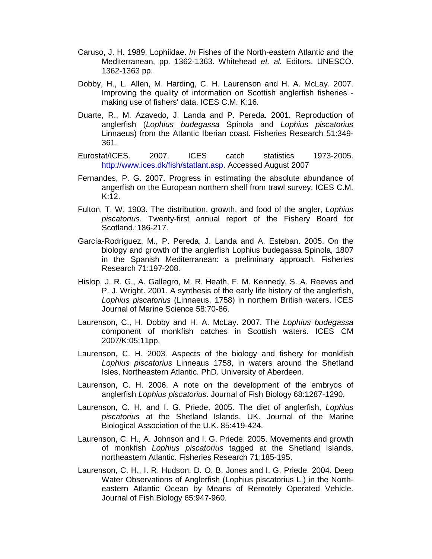- Caruso, J. H. 1989. Lophiidae. In Fishes of the North-eastern Atlantic and the Mediterranean, pp. 1362-1363. Whitehead et. al. Editors. UNESCO. 1362-1363 pp.
- Dobby, H., L. Allen, M. Harding, C. H. Laurenson and H. A. McLay. 2007. Improving the quality of information on Scottish anglerfish fisheries making use of fishers' data. ICES C.M. K:16.
- Duarte, R., M. Azavedo, J. Landa and P. Pereda. 2001. Reproduction of anglerfish (Lophius budegassa Spinola and Lophius piscatorius Linnaeus) from the Atlantic Iberian coast. Fisheries Research 51:349- 361.
- Eurostat/ICES. 2007. ICES catch statistics 1973-2005. http://www.ices.dk/fish/statlant.asp. Accessed August 2007
- Fernandes, P. G. 2007. Progress in estimating the absolute abundance of angerfish on the European northern shelf from trawl survey. ICES C.M. K:12.
- Fulton, T. W. 1903. The distribution, growth, and food of the angler, Lophius piscatorius. Twenty-first annual report of the Fishery Board for Scotland.:186-217.
- García-Rodríguez, M., P. Pereda, J. Landa and A. Esteban. 2005. On the biology and growth of the anglerfish Lophius budegassa Spinola, 1807 in the Spanish Mediterranean: a preliminary approach. Fisheries Research 71:197-208.
- Hislop, J. R. G., A. Gallegro, M. R. Heath, F. M. Kennedy, S. A. Reeves and P. J. Wright. 2001. A synthesis of the early life history of the anglerfish, Lophius piscatorius (Linnaeus, 1758) in northern British waters. ICES Journal of Marine Science 58:70-86.
- Laurenson, C., H. Dobby and H. A. McLay. 2007. The Lophius budegassa component of monkfish catches in Scottish waters. ICES CM 2007/K:05:11pp.
- Laurenson, C. H. 2003. Aspects of the biology and fishery for monkfish Lophius piscatorius Linneaus 1758, in waters around the Shetland Isles, Northeastern Atlantic. PhD. University of Aberdeen.
- Laurenson, C. H. 2006. A note on the development of the embryos of anglerfish Lophius piscatorius. Journal of Fish Biology 68:1287-1290.
- Laurenson, C. H. and I. G. Priede. 2005. The diet of anglerfish, Lophius piscatorius at the Shetland Islands, UK. Journal of the Marine Biological Association of the U.K. 85:419-424.
- Laurenson, C. H., A. Johnson and I. G. Priede. 2005. Movements and growth of monkfish Lophius piscatorius tagged at the Shetland Islands, northeastern Atlantic. Fisheries Research 71:185-195.
- Laurenson, C. H., I. R. Hudson, D. O. B. Jones and I. G. Priede. 2004. Deep Water Observations of Anglerfish (Lophius piscatorius L.) in the Northeastern Atlantic Ocean by Means of Remotely Operated Vehicle. Journal of Fish Biology 65:947-960.